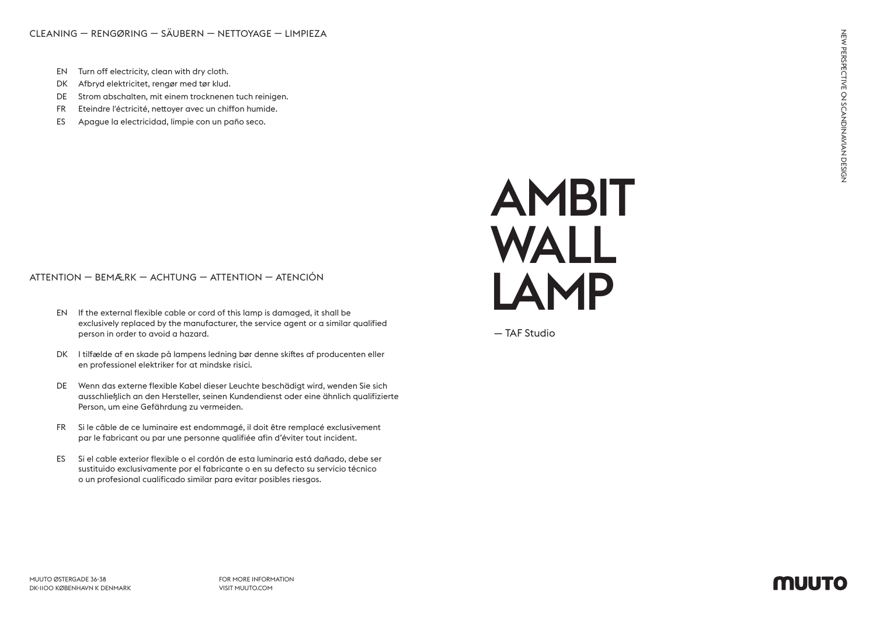CLEANING — RENGØRING — SÄUBERN — NETTOYAGE — LIMPIEZA

- EN Turn off electricity, clean with dry cloth.
- DK Afbryd elektricitet, rengør med tør klud.
- DE Strom abschalten, mit einem trocknenen tuch reinigen.
- FR Eteindre l'éctricité, nettoyer avec un chiffon humide.
- ES Apague la electricidad, limpie con un paño seco.

## ATTENTION — BEMÆRK — ACHTUNG — ATTENTION — ATENCIÓN

- EN If the external flexible cable or cord of this lamp is damaged, it shall be exclusively replaced by the manufacturer, the service agent or a similar qualified person in order to avoid a hazard.
- DK I tilfælde af en skade på lampens ledning bør denne skiftes af producenten eller en professionel elektriker for at mindske risici.
- DE Wenn das externe flexible Kabel dieser Leuchte beschädigt wird, wenden Sie sich ausschließlich an den Hersteller, seinen Kundendienst oder eine ähnlich qualifizierte Person, um eine Gefährdung zu vermeiden.
- FR Si le câble de ce luminaire est endommagé, il doit être remplacé exclusivement par le fabricant ou par une personne qualifiée afin d'éviter tout incident.
- ES Si el cable exterior flexible o el cordón de esta luminaria está dañado, debe ser sustituido exclusivamente por el fabricante o en su defecto su servicio técnico o un profesional cualificado similar para evitar posibles riesgos.



— TAF Studio